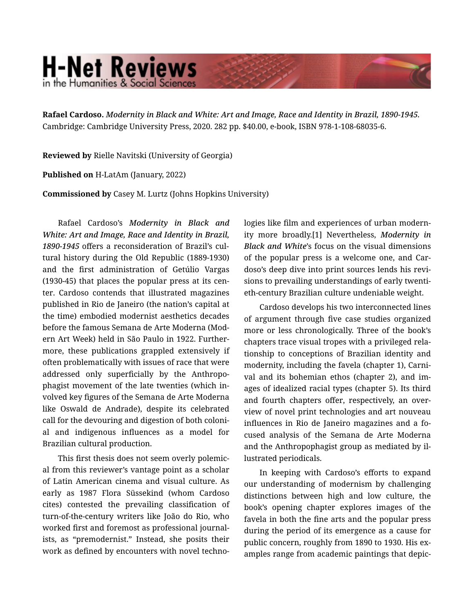## **H-Net Reviews** in the Humanities & Social Sciend

Rafael Cardoso. *Modernity in Black and White: Art and Image, Race and Identity in Brazil, 1890-1945.*  Cambridge: Cambridge University Press, 2020. 282 pp. \$40.00, e-book, ISBN 978-1-108-68035-6.

Reviewed by Rielle Navitski (University of Georgia)

Published on H-LatAm (January, 2022)

Commissioned by Casey M. Lurtz (Johns Hopkins University)

Rafael Cardoso's *Modernity in Black and White: Art and Image, Race and Identity in Brazil, 1890-1945* offers a reconsideration of Brazil's cul‐ tural history during the Old Republic (1889-1930) and the first administration of Getúlio Vargas (1930-45) that places the popular press at its cen‐ ter. Cardoso contends that illustrated magazines published in Rio de Janeiro (the nation's capital at the time) embodied modernist aesthetics decades before the famous Semana de Arte Moderna (Mod‐ ern Art Week) held in São Paulo in 1922. Further‐ more, these publications grappled extensively if often problematically with issues of race that were addressed only superficially by the Anthropo‐ phagist movement of the late twenties (which in‐ volved key figures of the Semana de Arte Moderna like Oswald de Andrade), despite its celebrated call for the devouring and digestion of both coloni‐ al and indigenous influences as a model for Brazilian cultural production.

This first thesis does not seem overly polemic‐ al from this reviewer's vantage point as a scholar of Latin American cinema and visual culture. As early as 1987 Flora Süssekind (whom Cardoso cites) contested the prevailing classification of turn-of-the-century writers like João do Rio, who worked first and foremost as professional journal‐ ists, as "premodernist." Instead, she posits their work as defined by encounters with novel technologies like film and experiences of urban modern‐ ity more broadly.[1] Nevertheless, *Modernity in Black and White*'s focus on the visual dimensions of the popular press is a welcome one, and Car‐ doso's deep dive into print sources lends his revi‐ sions to prevailing understandings of early twenti‐ eth-century Brazilian culture undeniable weight.

Cardoso develops his two interconnected lines of argument through five case studies organized more or less chronologically. Three of the book's chapters trace visual tropes with a privileged rela‐ tionship to conceptions of Brazilian identity and modernity, including the favela (chapter 1), Carni‐ val and its bohemian ethos (chapter 2), and im‐ ages of idealized racial types (chapter 5). Its third and fourth chapters offer, respectively, an over‐ view of novel print technologies and art nouveau influences in Rio de Janeiro magazines and a fo‐ cused analysis of the Semana de Arte Moderna and the Anthropophagist group as mediated by il‐ lustrated periodicals.

In keeping with Cardoso's efforts to expand our understanding of modernism by challenging distinctions between high and low culture, the book's opening chapter explores images of the favela in both the fine arts and the popular press during the period of its emergence as a cause for public concern, roughly from 1890 to 1930. His examples range from academic paintings that depic‐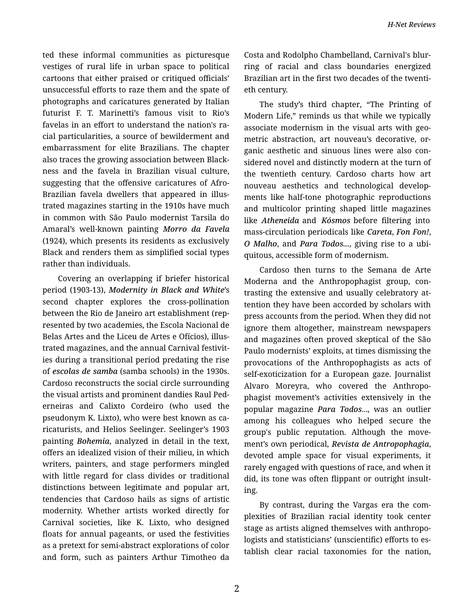ted these informal communities as picturesque vestiges of rural life in urban space to political cartoons that either praised or critiqued officials' unsuccessful efforts to raze them and the spate of photographs and caricatures generated by Italian futurist F. T. Marinetti's famous visit to Rio's favelas in an effort to understand the nation's ra‐ cial particularities, a source of bewilderment and embarrassment for elite Brazilians. The chapter also traces the growing association between Black‐ ness and the favela in Brazilian visual culture, suggesting that the offensive caricatures of Afro-Brazilian favela dwellers that appeared in illus‐ trated magazines starting in the 1910s have much in common with São Paulo modernist Tarsila do Amaral's well-known painting *Morro da Favela* (1924), which presents its residents as exclusively Black and renders them as simplified social types rather than individuals.

Covering an overlapping if briefer historical period (1903-13), *Modernity in Black and White*'s second chapter explores the cross-pollination between the Rio de Janeiro art establishment (rep‐ resented by two academies, the Escola Nacional de Belas Artes and the Liceu de Artes e Ofícios), illus‐ trated magazines, and the annual Carnival festivit‐ ies during a transitional period predating the rise of *escolas de samba* (samba schools) in the 1930s. Cardoso reconstructs the social circle surrounding the visual artists and prominent dandies Raul Ped‐ erneiras and Calixto Cordeiro (who used the pseudonym K. Lixto), who were best known as ca‐ ricaturists, and Helios Seelinger. Seelinger's 1903 painting *Bohemia*, analyzed in detail in the text, offers an idealized vision of their milieu, in which writers, painters, and stage performers mingled with little regard for class divides or traditional distinctions between legitimate and popular art, tendencies that Cardoso hails as signs of artistic modernity. Whether artists worked directly for Carnival societies, like K. Lixto, who designed floats for annual pageants, or used the festivities as a pretext for semi-abstract explorations of color and form, such as painters Arthur Timotheo da

Costa and Rodolpho Chambelland, Carnival's blur‐ ring of racial and class boundaries energized Brazilian art in the first two decades of the twenti‐ eth century.

The study's third chapter, "The Printing of Modern Life," reminds us that while we typically associate modernism in the visual arts with geo‐ metric abstraction, art nouveau's decorative, or‐ ganic aesthetic and sinuous lines were also con‐ sidered novel and distinctly modern at the turn of the twentieth century. Cardoso charts how art nouveau aesthetics and technological develop‐ ments like half-tone photographic reproductions and multicolor printing shaped little magazines like *Atheneida* and *Kósmos* before filtering into mass-circulation periodicals like *Careta*, *Fon Fon!*, *O Malho*, and *Para Todos...*, giving rise to a ubi‐ quitous, accessible form of modernism.

Cardoso then turns to the Semana de Arte Moderna and the Anthropophagist group, con‐ trasting the extensive and usually celebratory at‐ tention they have been accorded by scholars with press accounts from the period. When they did not ignore them altogether, mainstream newspapers and magazines often proved skeptical of the São Paulo modernists' exploits, at times dismissing the provocations of the Anthropophagists as acts of self-exoticization for a European gaze. Journalist Alvaro Moreyra, who covered the Anthropo‐ phagist movement's activities extensively in the popular magazine *Para Todos*..., was an outlier among his colleagues who helped secure the group's public reputation. Although the move‐ ment's own periodical, *Revista de Antropophagia*, devoted ample space for visual experiments, it rarely engaged with questions of race, and when it did, its tone was often flippant or outright insult‐ ing.

By contrast, during the Vargas era the com‐ plexities of Brazilian racial identity took center stage as artists aligned themselves with anthropo‐ logists and statisticians' (unscientific) efforts to es‐ tablish clear racial taxonomies for the nation,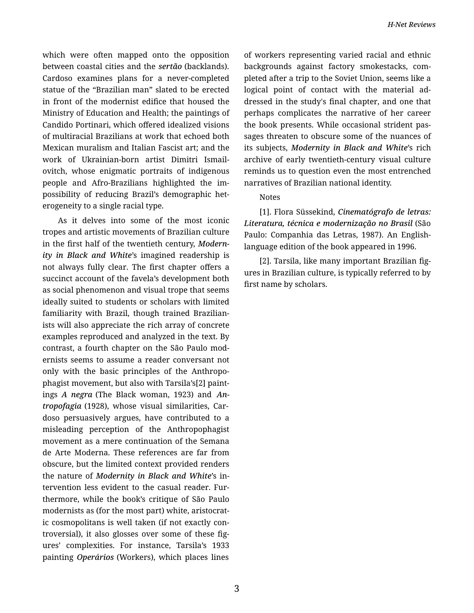which were often mapped onto the opposition between coastal cities and the *sertão* (backlands). Cardoso examines plans for a never-completed statue of the "Brazilian man" slated to be erected in front of the modernist edifice that housed the Ministry of Education and Health; the paintings of Candido Portinari, which offered idealized visions of multiracial Brazilians at work that echoed both Mexican muralism and Italian Fascist art; and the work of Ukrainian-born artist Dimitri Ismail‐ ovitch, whose enigmatic portraits of indigenous people and Afro-Brazilians highlighted the im‐ possibility of reducing Brazil's demographic het‐ erogeneity to a single racial type.

As it delves into some of the most iconic tropes and artistic movements of Brazilian culture in the first half of the twentieth century, *Modern‐ ity in Black and White*'s imagined readership is not always fully clear. The first chapter offers a succinct account of the favela's development both as social phenomenon and visual trope that seems ideally suited to students or scholars with limited familiarity with Brazil, though trained Brazilian‐ ists will also appreciate the rich array of concrete examples reproduced and analyzed in the text. By contrast, a fourth chapter on the São Paulo mod‐ ernists seems to assume a reader conversant not only with the basic principles of the Anthropo‐ phagist movement, but also with Tarsila's[2] paint‐ ings *A negra* (The Black woman, 1923) and *An‐ tropofagia* (1928), whose visual similarities, Car‐ doso persuasively argues, have contributed to a misleading perception of the Anthropophagist movement as a mere continuation of the Semana de Arte Moderna. These references are far from obscure, but the limited context provided renders the nature of *Modernity in Black and White*'s in‐ tervention less evident to the casual reader. Fur‐ thermore, while the book's critique of São Paulo modernists as (for the most part) white, aristocrat‐ ic cosmopolitans is well taken (if not exactly con‐ troversial), it also glosses over some of these fig‐ ures' complexities. For instance, Tarsila's 1933 painting *Operários* (Workers), which places lines

of workers representing varied racial and ethnic backgrounds against factory smokestacks, com‐ pleted after a trip to the Soviet Union, seems like a logical point of contact with the material ad‐ dressed in the study's final chapter, and one that perhaps complicates the narrative of her career the book presents. While occasional strident pas‐ sages threaten to obscure some of the nuances of its subjects, *Modernity in Black and White*'s rich archive of early twentieth-century visual culture reminds us to question even the most entrenched narratives of Brazilian national identity.

## Notes

[1]. Flora Süssekind, *Cinematógrafo de letras: Literatura, técnica e modernização no Brasil* (São Paulo: Companhia das Letras, 1987). An Englishlanguage edition of the book appeared in 1996.

[2]. Tarsila, like many important Brazilian fig‐ ures in Brazilian culture, is typically referred to by first name by scholars.